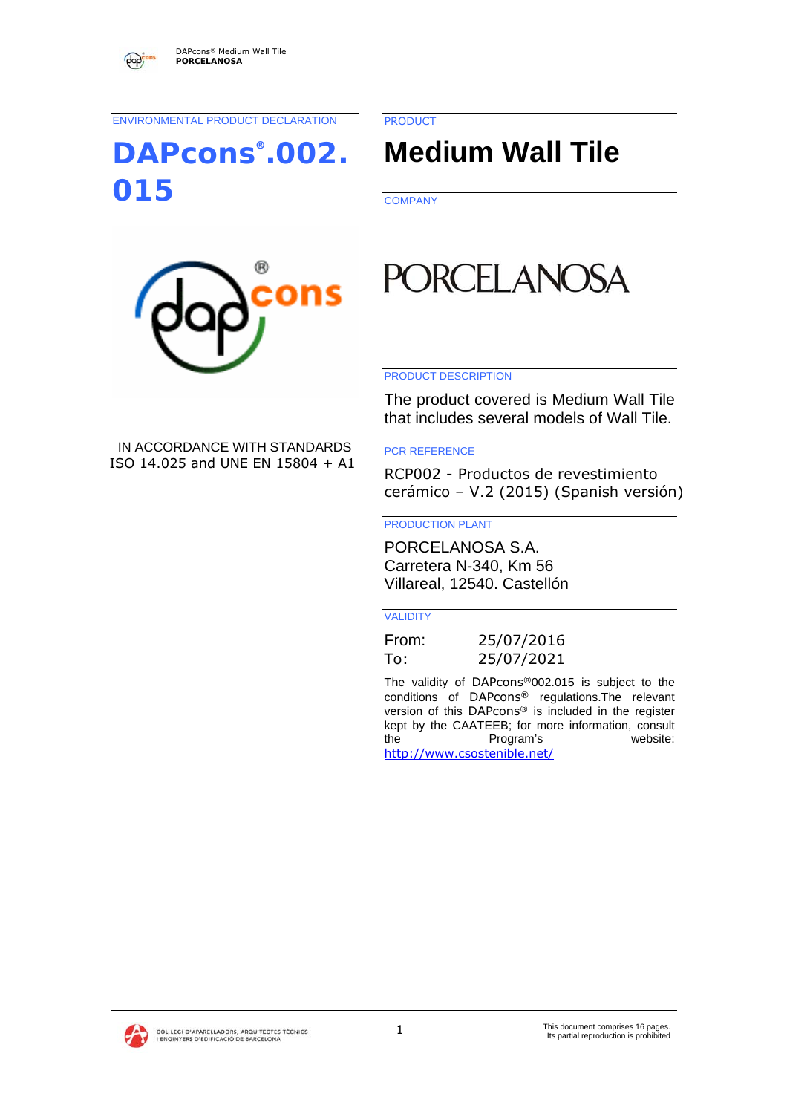ENVIRONMENTAL PRODUCT DECLARATION

**DAPcons®.002. 015** 

PRODUCT

# **Medium Wall Tile**

**COMPANY** 



## IN ACCORDANCE WITH STANDARDS ISO 14.025 and UNE EN 15804 + A1

**PORCELANOSA** 

#### PRODUCT DESCRIPTION

The product covered is Medium Wall Tile that includes several models of Wall Tile.

#### PCR REFERENCE

RCP002 - Productos de revestimiento cerámico – V.2 (2015) (Spanish versión)

#### PRODUCTION PLANT

PORCELANOSA S.A. Carretera N-340, Km 56 Villareal, 12540. Castellón

#### VALIDITY

| From: | 25/07/2016 |
|-------|------------|
| To:   | 25/07/2021 |

The validity of DAPcons®002.015 is subject to the conditions of DAPcons® regulations.The relevant version of this DAPcons® is included in the register kept by the CAATEEB; for more information, consult the Program's website: http://www.csostenible.net/

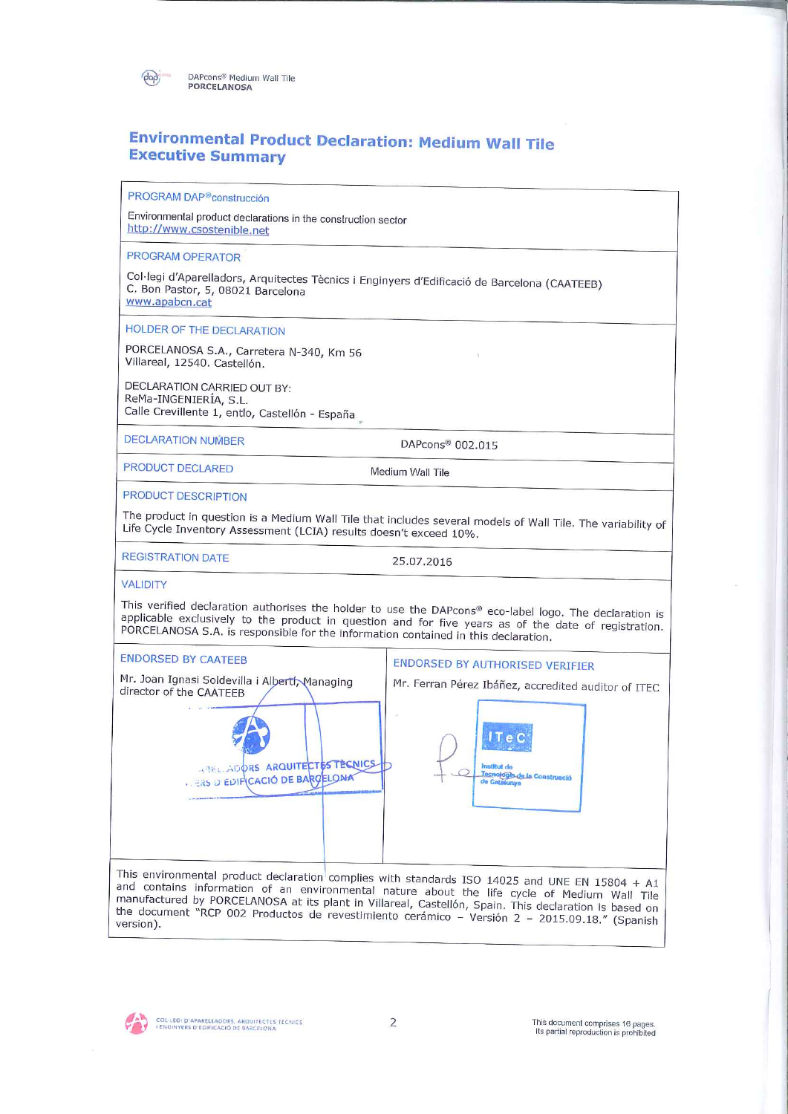

## **Environmental Product Declaration: Medium Wall Tile Executive Summary**

PROGRAM DAP®construcción

Environmental product declarations in the construction sector http://www.csostenible.net

**PROGRAM OPERATOR** 

Col·legi d'Aparelladors, Arquitectes Tècnics i Enginyers d'Edificació de Barcelona (CAATEEB) C. Bon Pastor, 5, 08021 Barcelona www.apabcn.cat

HOLDER OF THE DECLARATION

PORCELANOSA S.A., Carretera N-340, Km 56 Villareal, 12540. Castellón.

DECLARATION CARRIED OUT BY: ReMa-INGENIERÍA, S.L. Calle Crevillente 1, entlo, Castellón - España

**DECLARATION NUMBER** 

PRODUCT DECLARED

DAPcons® 002.015

Medium Wall Tile

PRODUCT DESCRIPTION

The product in question is a Medium Wall Tile that includes several models of Wall Tile. The variability of Life Cycle Inventory Assessment (LCIA) results doesn't exceed 10%.

**REGISTRATION DATE** 

25.07.2016

**VALIDITY** 

This verified declaration authorises the holder to use the DAPcons® eco-label logo. The declaration is applicable exclusively to the product in question and for five years as of the date of registration. PORCELANOSA S.A. is responsible for the information contained in this declaration.



ENDORSED BY AUTHORISED VERIFIER



and contains information of an environmental nature about the life cycle of Medium Wall Tile manufactured by PORCELANOSA at its plant in Villareal, Castellón, Spain. This declaration is based on the document "RCP 002 Productos de revestimiento cerámico – Versión 2 – 2015.09.18." (Spanish version).

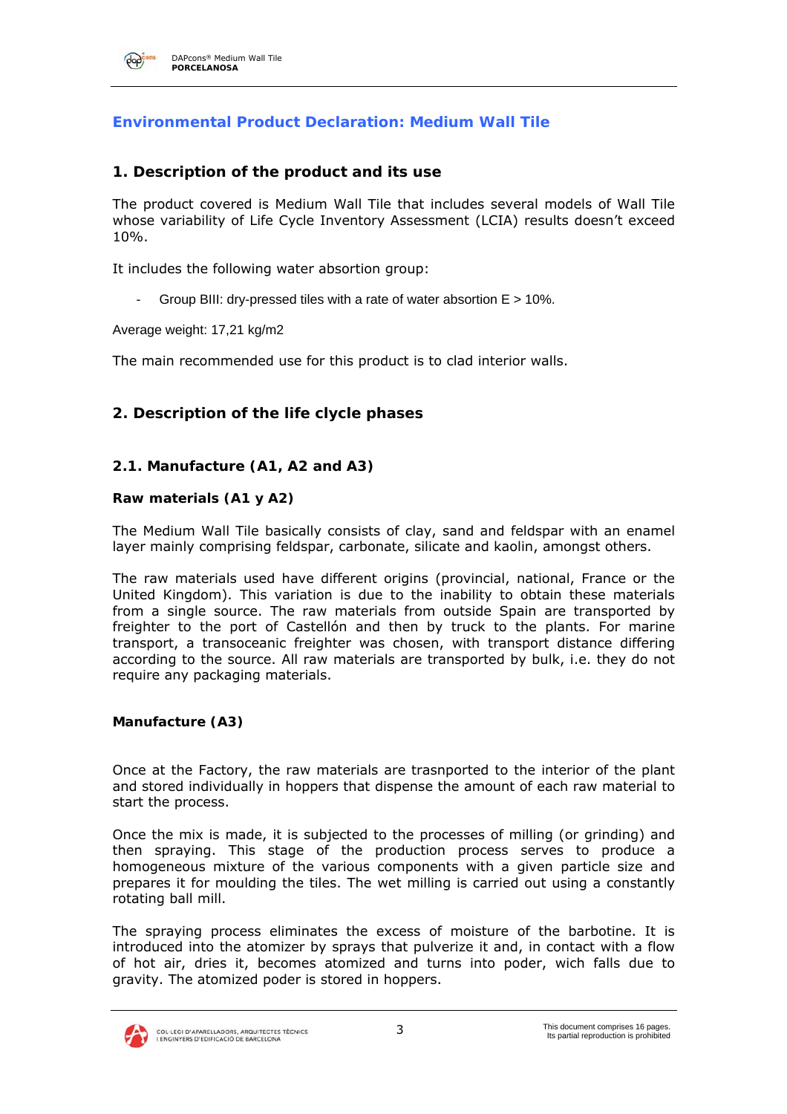

## **Environmental Product Declaration: Medium Wall Tile**

#### **1. Description of the product and its use**

The product covered is Medium Wall Tile that includes several models of Wall Tile whose variability of Life Cycle Inventory Assessment (LCIA) results doesn't exceed 10%.

It includes the following water absortion group:

Group BIII: drv-pressed tiles with a rate of water absortion  $E > 10\%$ .

Average weight: 17,21 kg/m2

The main recommended use for this product is to clad interior walls.

## **2. Description of the life clycle phases**

#### **2.1. Manufacture (A1, A2 and A3)**

#### **Raw materials (A1 y A2)**

The Medium Wall Tile basically consists of clay, sand and feldspar with an enamel layer mainly comprising feldspar, carbonate, silicate and kaolin, amongst others.

The raw materials used have different origins (provincial, national, France or the United Kingdom). This variation is due to the inability to obtain these materials from a single source. The raw materials from outside Spain are transported by freighter to the port of Castellón and then by truck to the plants. For marine transport, a transoceanic freighter was chosen, with transport distance differing according to the source. All raw materials are transported by bulk, i.e. they do not require any packaging materials.

#### **Manufacture (A3)**

Once at the Factory, the raw materials are trasnported to the interior of the plant and stored individually in hoppers that dispense the amount of each raw material to start the process.

Once the mix is made, it is subjected to the processes of milling (or grinding) and then spraying. This stage of the production process serves to produce a homogeneous mixture of the various components with a given particle size and prepares it for moulding the tiles. The wet milling is carried out using a constantly rotating ball mill.

The spraying process eliminates the excess of moisture of the barbotine. It is introduced into the atomizer by sprays that pulverize it and, in contact with a flow of hot air, dries it, becomes atomized and turns into poder, wich falls due to gravity. The atomized poder is stored in hoppers.

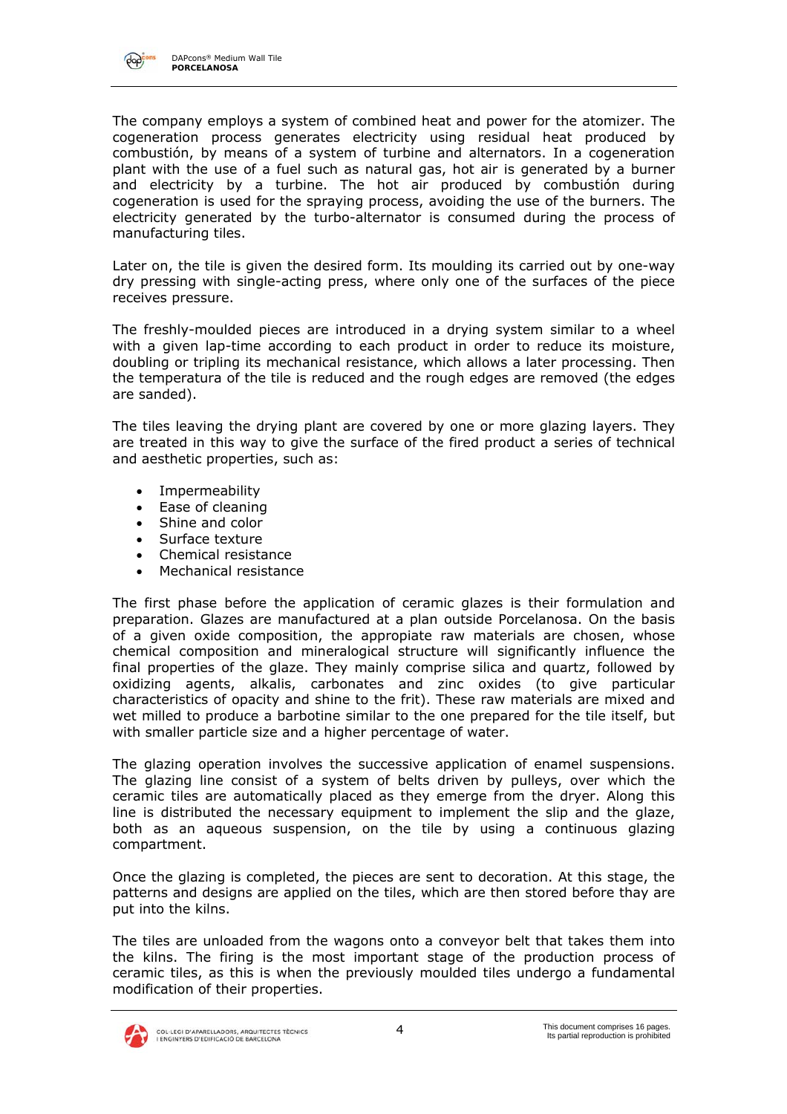

The company employs a system of combined heat and power for the atomizer. The cogeneration process generates electricity using residual heat produced by combustión, by means of a system of turbine and alternators. In a cogeneration plant with the use of a fuel such as natural gas, hot air is generated by a burner and electricity by a turbine. The hot air produced by combustión during cogeneration is used for the spraying process, avoiding the use of the burners. The electricity generated by the turbo-alternator is consumed during the process of manufacturing tiles.

Later on, the tile is given the desired form. Its moulding its carried out by one-way dry pressing with single-acting press, where only one of the surfaces of the piece receives pressure.

The freshly-moulded pieces are introduced in a drying system similar to a wheel with a given lap-time according to each product in order to reduce its moisture, doubling or tripling its mechanical resistance, which allows a later processing. Then the temperatura of the tile is reduced and the rough edges are removed (the edges are sanded).

The tiles leaving the drying plant are covered by one or more glazing layers. They are treated in this way to give the surface of the fired product a series of technical and aesthetic properties, such as:

- Impermeability
- Ease of cleaning
- Shine and color
- Surface texture
- Chemical resistance
- Mechanical resistance

The first phase before the application of ceramic glazes is their formulation and preparation. Glazes are manufactured at a plan outside Porcelanosa. On the basis of a given oxide composition, the appropiate raw materials are chosen, whose chemical composition and mineralogical structure will significantly influence the final properties of the glaze. They mainly comprise silica and quartz, followed by oxidizing agents, alkalis, carbonates and zinc oxides (to give particular characteristics of opacity and shine to the frit). These raw materials are mixed and wet milled to produce a barbotine similar to the one prepared for the tile itself, but with smaller particle size and a higher percentage of water.

The glazing operation involves the successive application of enamel suspensions. The glazing line consist of a system of belts driven by pulleys, over which the ceramic tiles are automatically placed as they emerge from the dryer. Along this line is distributed the necessary equipment to implement the slip and the glaze, both as an aqueous suspension, on the tile by using a continuous glazing compartment.

Once the glazing is completed, the pieces are sent to decoration. At this stage, the patterns and designs are applied on the tiles, which are then stored before thay are put into the kilns.

The tiles are unloaded from the wagons onto a conveyor belt that takes them into the kilns. The firing is the most important stage of the production process of ceramic tiles, as this is when the previously moulded tiles undergo a fundamental modification of their properties.

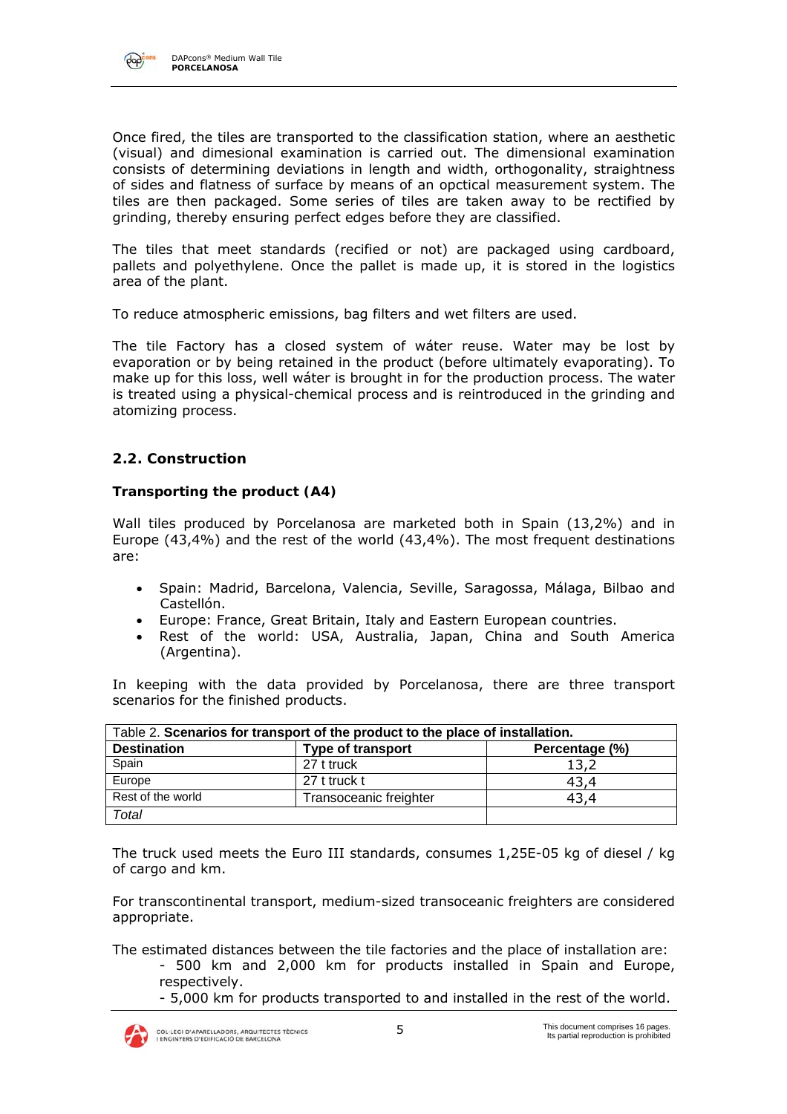

Once fired, the tiles are transported to the classification station, where an aesthetic (visual) and dimesional examination is carried out. The dimensional examination consists of determining deviations in length and width, orthogonality, straightness of sides and flatness of surface by means of an opctical measurement system. The tiles are then packaged. Some series of tiles are taken away to be rectified by grinding, thereby ensuring perfect edges before they are classified.

The tiles that meet standards (recified or not) are packaged using cardboard, pallets and polyethylene. Once the pallet is made up, it is stored in the logistics area of the plant.

To reduce atmospheric emissions, bag filters and wet filters are used.

The tile Factory has a closed system of wáter reuse. Water may be lost by evaporation or by being retained in the product (before ultimately evaporating). To make up for this loss, well wáter is brought in for the production process. The water is treated using a physical-chemical process and is reintroduced in the grinding and atomizing process.

## **2.2. Construction**

#### **Transporting the product (A4)**

Wall tiles produced by Porcelanosa are marketed both in Spain (13,2%) and in Europe (43,4%) and the rest of the world (43,4%). The most frequent destinations are:

- Spain: Madrid, Barcelona, Valencia, Seville, Saragossa, Málaga, Bilbao and Castellón.
- Europe: France, Great Britain, Italy and Eastern European countries.
- Rest of the world: USA, Australia, Japan, China and South America (Argentina).

In keeping with the data provided by Porcelanosa, there are three transport scenarios for the finished products.

|                    | Table 2. Scenarios for transport of the product to the place of installation. |                |
|--------------------|-------------------------------------------------------------------------------|----------------|
| <b>Destination</b> | <b>Type of transport</b>                                                      | Percentage (%) |
| Spain              | 27 t truck                                                                    | 13,2           |
| Europe             | 27 t truck t                                                                  | 43,4           |
| Rest of the world  | Transoceanic freighter                                                        | 43.4           |
| Total              |                                                                               |                |

The truck used meets the Euro III standards, consumes 1,25E-05 kg of diesel / kg of cargo and km.

For transcontinental transport, medium-sized transoceanic freighters are considered appropriate.

The estimated distances between the tile factories and the place of installation are:

- 500 km and 2,000 km for products installed in Spain and Europe, respectively.
- 5,000 km for products transported to and installed in the rest of the world.

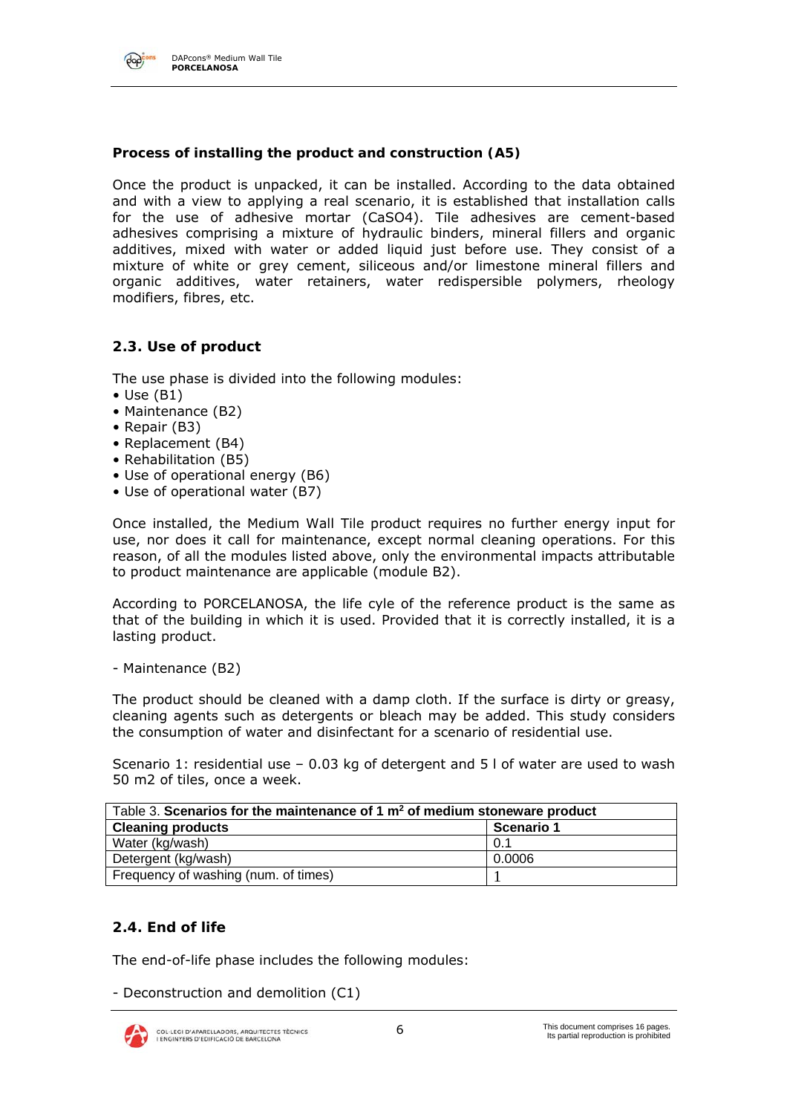

#### DAPcons® Medium Wall Tile **PORCELANOSA**

#### **Process of installing the product and construction (A5)**

Once the product is unpacked, it can be installed. According to the data obtained and with a view to applying a real scenario, it is established that installation calls for the use of adhesive mortar (CaSO4). Tile adhesives are cement-based adhesives comprising a mixture of hydraulic binders, mineral fillers and organic additives, mixed with water or added liquid just before use. They consist of a mixture of white or grey cement, siliceous and/or limestone mineral fillers and organic additives, water retainers, water redispersible polymers, rheology modifiers, fibres, etc.

#### **2.3. Use of product**

The use phase is divided into the following modules:

- $\bullet$  Use (B1)
- Maintenance (B2)
- Repair (B3)
- Replacement (B4)
- Rehabilitation (B5)
- Use of operational energy (B6)
- Use of operational water (B7)

Once installed, the Medium Wall Tile product requires no further energy input for use, nor does it call for maintenance, except normal cleaning operations. For this reason, of all the modules listed above, only the environmental impacts attributable to product maintenance are applicable (module B2).

According to PORCELANOSA, the life cyle of the reference product is the same as that of the building in which it is used. Provided that it is correctly installed, it is a lasting product.

- Maintenance (B2)

The product should be cleaned with a damp cloth. If the surface is dirty or greasy, cleaning agents such as detergents or bleach may be added. This study considers the consumption of water and disinfectant for a scenario of residential use.

Scenario 1: residential use – 0.03 kg of detergent and 5 l of water are used to wash 50 m2 of tiles, once a week.

| Table 3. Scenarios for the maintenance of 1 $m2$ of medium stoneware product |            |
|------------------------------------------------------------------------------|------------|
| <b>Cleaning products</b>                                                     | Scenario 1 |
| Water (kg/wash)                                                              | 0.1        |
| Detergent (kg/wash)                                                          | 0.0006     |
| Frequency of washing (num. of times)                                         |            |

## **2.4. End of life**

The end-of-life phase includes the following modules:

- Deconstruction and demolition (C1)

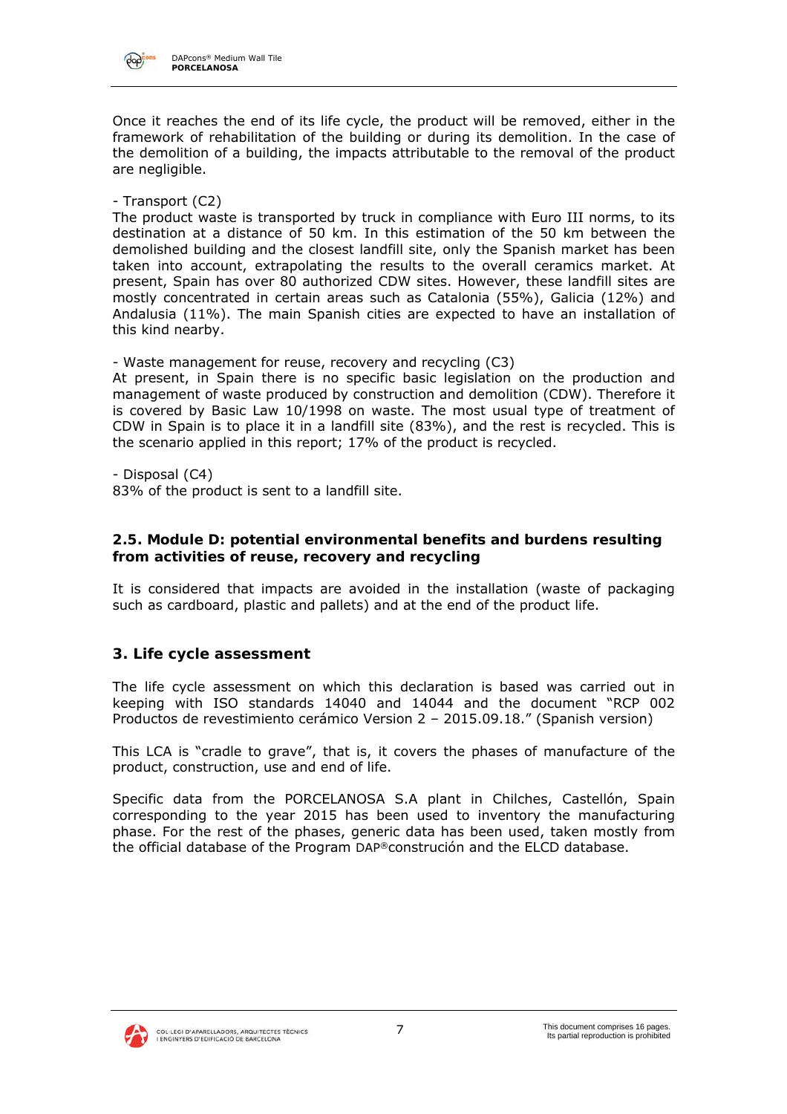

Once it reaches the end of its life cycle, the product will be removed, either in the framework of rehabilitation of the building or during its demolition. In the case of the demolition of a building, the impacts attributable to the removal of the product are negligible.

- Transport (C2)

The product waste is transported by truck in compliance with Euro III norms, to its destination at a distance of 50 km. In this estimation of the 50 km between the demolished building and the closest landfill site, only the Spanish market has been taken into account, extrapolating the results to the overall ceramics market. At present, Spain has over 80 authorized CDW sites. However, these landfill sites are mostly concentrated in certain areas such as Catalonia (55%), Galicia (12%) and Andalusia (11%). The main Spanish cities are expected to have an installation of this kind nearby.

- Waste management for reuse, recovery and recycling (C3)

At present, in Spain there is no specific basic legislation on the production and management of waste produced by construction and demolition (CDW). Therefore it is covered by Basic Law 10/1998 on waste. The most usual type of treatment of CDW in Spain is to place it in a landfill site (83%), and the rest is recycled. This is the scenario applied in this report; 17% of the product is recycled.

- Disposal (C4)

83% of the product is sent to a landfill site.

#### **2.5. Module D: potential environmental benefits and burdens resulting from activities of reuse, recovery and recycling**

It is considered that impacts are avoided in the installation (waste of packaging such as cardboard, plastic and pallets) and at the end of the product life.

## **3. Life cycle assessment**

The life cycle assessment on which this declaration is based was carried out in keeping with ISO standards 14040 and 14044 and the document "RCP 002 Productos de revestimiento cerámico Version 2 – 2015.09.18." (Spanish version)

This LCA is "cradle to grave", that is, it covers the phases of manufacture of the product, construction, use and end of life.

Specific data from the PORCELANOSA S.A plant in Chilches, Castellón, Spain corresponding to the year 2015 has been used to inventory the manufacturing phase. For the rest of the phases, generic data has been used, taken mostly from the official database of the Program DAP®construción and the ELCD database.

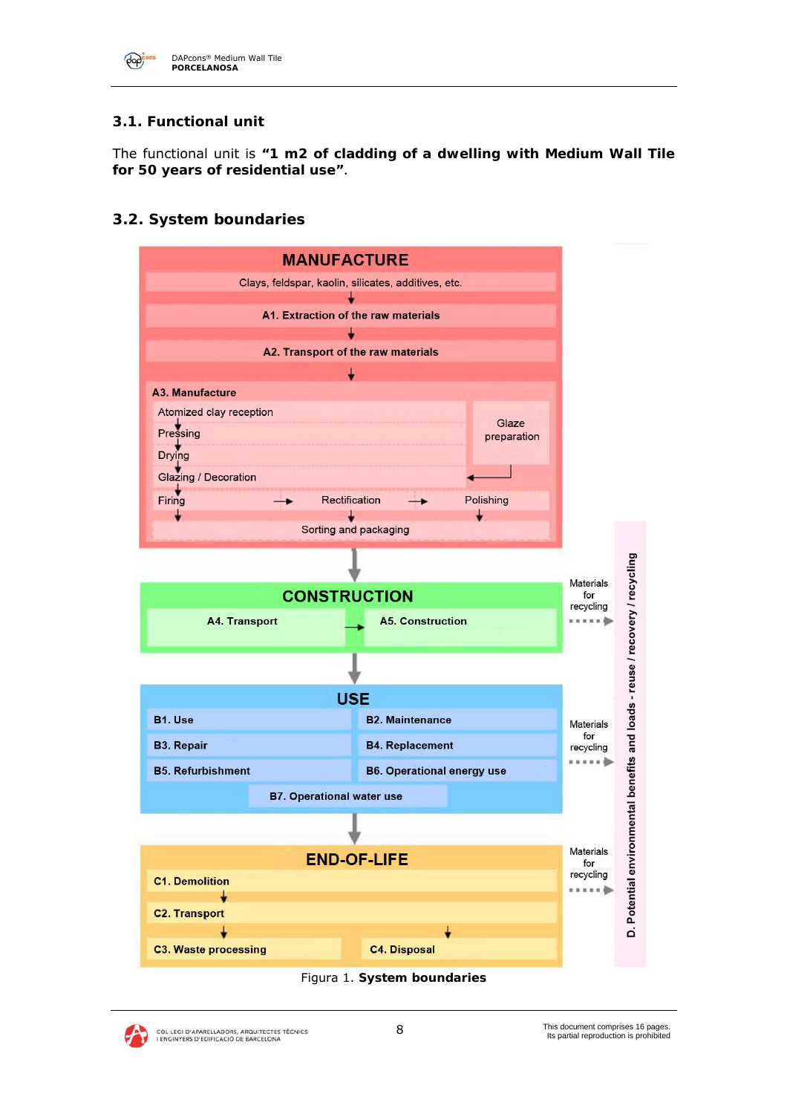

## **3.1. Functional unit**

The functional unit is **"1 m2 of cladding of a dwelling with Medium Wall Tile for 50 years of residential use"**.

## **3.2. System boundaries**





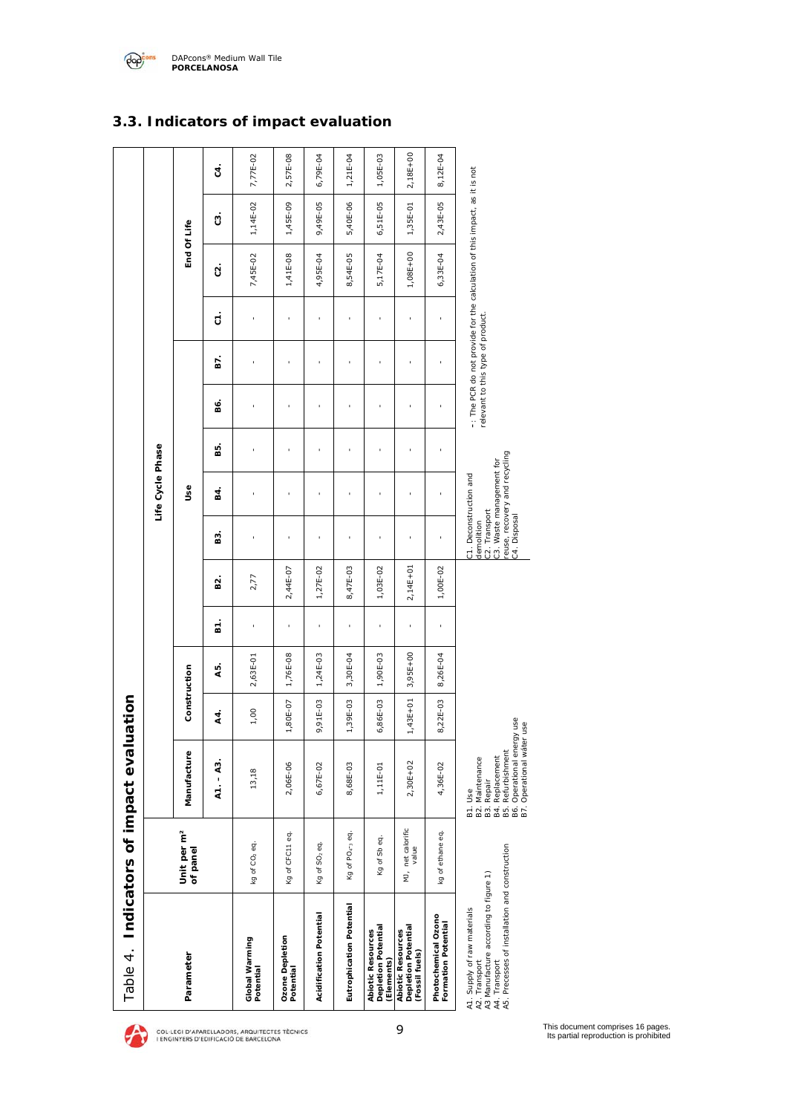

# *A1. Supply of raw materials A2. Transport A3 Manufacture according to figure 1) A4. Transport 5. Precesses of installation and construction*

*A*

*B2. Maintenance B3. Repair B4. Replacement B5. Refurbishment B6. Operational energy use B7. Operational wáter use* 







## **3.3. Indicators of impact evaluation**

2,18E+00

2,18E+00

8,12E-04

8,12E-04

*relevant to this type of product.*

*demolition C2. Transport* *C3. Waste management for reuse, recovery and recycling* 

demolition<br>C2. Transport<br>C3. Waste management for<br>C3. Waste management for<br>C4. Disposal

*C4. Disposal*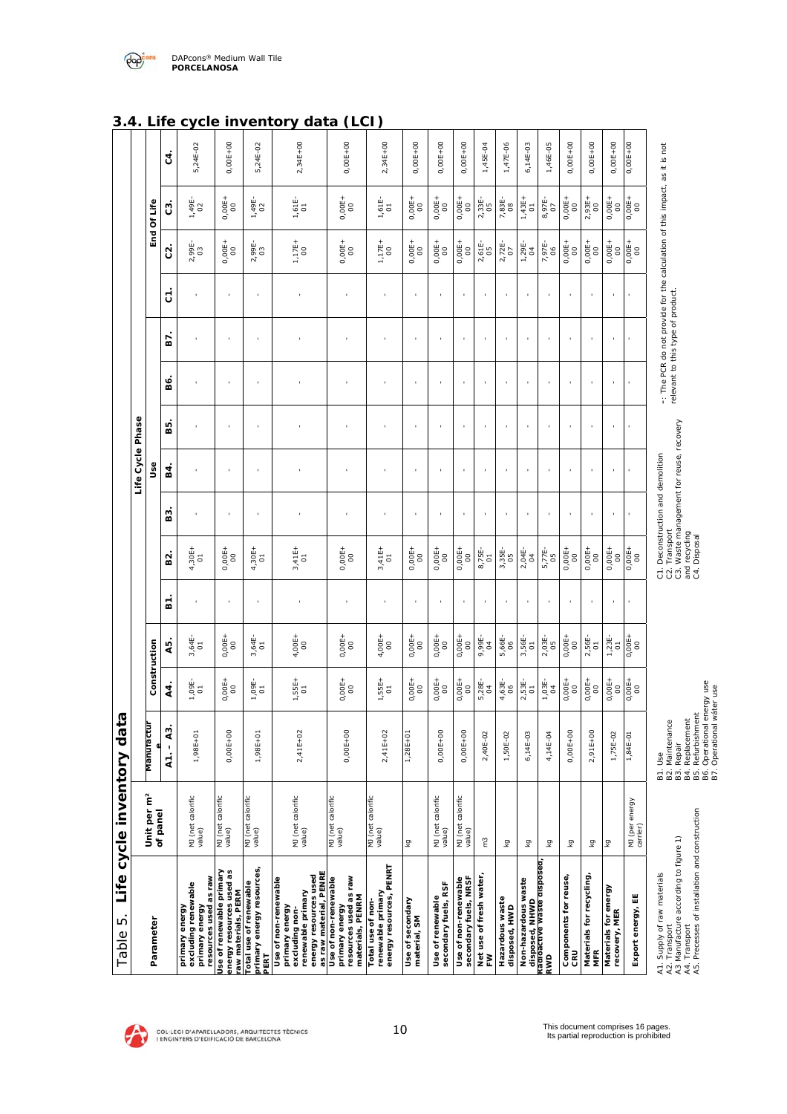| Table 5.                                                                                                                                                 | Life cycle inventory data           |                                                                                                                                           |                            |                                 |              |                                                                                                                                 |                          |                  |       |                                   |                |                          |                                                                            |                            | э.4.                         |
|----------------------------------------------------------------------------------------------------------------------------------------------------------|-------------------------------------|-------------------------------------------------------------------------------------------------------------------------------------------|----------------------------|---------------------------------|--------------|---------------------------------------------------------------------------------------------------------------------------------|--------------------------|------------------|-------|-----------------------------------|----------------|--------------------------|----------------------------------------------------------------------------|----------------------------|------------------------------|
|                                                                                                                                                          |                                     |                                                                                                                                           |                            |                                 |              |                                                                                                                                 |                          | Life Cycle Phase |       |                                   |                |                          |                                                                            |                            |                              |
| Parameter                                                                                                                                                | Unit per m <sup>2</sup><br>of panel | Manuractur                                                                                                                                | Construction               |                                 |              |                                                                                                                                 |                          | ⊍se              |       |                                   |                |                          |                                                                            | End Of Life                |                              |
|                                                                                                                                                          |                                     | A3.<br>$A1 -$                                                                                                                             | 4.                         | 45.                             | <u>ត</u>     | Σá                                                                                                                              | 53                       | В.               | <br>წ | sé.                               | 57             | 5                        | $\tilde{c}$                                                                | ΰ                          | c<br>ξ.                      |
| resources used as raw<br>excluding renewable<br>primary energy<br>primary energy                                                                         | MJ (net calorific<br>value)         | $1,98E + 01$                                                                                                                              | $1,09E-$                   | 3,64E-<br>01                    |              | $4,30E+$                                                                                                                        |                          |                  |       |                                   |                |                          | 2,99E-<br>03                                                               | 1,49E-<br>02               | ◡<br>ᄓ<br>5,24E-02           |
| Use of renewable primary<br>energy resources used as<br>raw materials, PERM                                                                              | MJ (net calorific<br>value)         | $0,00E+00$                                                                                                                                | $0,00E +$                  | $0,00E +$                       |              | $0,00E +$                                                                                                                       |                          |                  |       |                                   |                |                          | $0,00E +$                                                                  | $0,00E +$                  | $\blacksquare$<br>$0,00E+00$ |
| primary energy resources,<br>Total use of renewable<br>PERT                                                                                              | MJ (net calorific<br>value)         | $1,98E+01$                                                                                                                                | $1,09E-$                   | 3,64E-<br>01                    |              | $4,30E+$                                                                                                                        | $\mathbf{r}$             | ٠                | ×     |                                   |                | $\mathbf{r}$             | 2,99E-<br>03                                                               | $1,49E-$                   | ᄗ<br>5,24E-02                |
| as raw material, PENRE<br>energy resources used<br>Use of non-renewable<br>renewable primary<br>primary energy<br>excluding non-                         | MJ (net calorific<br>value)         | $2,41E+02$                                                                                                                                | $1,55E+$<br>$\overline{0}$ | $4,00E+$                        |              | $3,41E+$                                                                                                                        | $\mathbf{r}$             | $\mathbf{r}$     |       |                                   |                | $\mathbf{r}$             | $1,17E+$                                                                   | $1,61E-$                   | יש<br>uala<br>$2,34E+00$     |
| resources used as raw<br>materials, PENRM<br>Use of non-renewable<br>primary energy                                                                      | MJ (net calorific<br>value)         | $0,00E+00$                                                                                                                                | $0,00E +$                  | $0,00E +$                       |              | $0,00E +$                                                                                                                       |                          |                  |       |                                   |                |                          | $0,00E +$                                                                  | $0,00E +$                  | いしい<br>$0,00E+00$            |
| energy resources, PENRT<br>renewable primary<br>Total use of non-                                                                                        | MJ (net calorific<br>value)         | $2,41E+02$                                                                                                                                | $1,55E+$<br>$\overline{0}$ | $4,00E+$                        |              | $3,41E+$                                                                                                                        |                          |                  |       |                                   |                |                          | $1,17E+$                                                                   | $1,61E-$                   | 2,34E+00                     |
| Use of secondary<br>material, SM                                                                                                                         | Σă                                  | $1,28E + 01$                                                                                                                              | $0,00E +$                  | $0,00E +$                       |              | $0,00E +$                                                                                                                       |                          |                  |       |                                   |                | í.                       | $0,00E +$                                                                  | $0,00E +$                  | 0,00E+00                     |
| secondary fuels, RSF<br>Use of renewable                                                                                                                 | MJ (net calorific<br>value)         | $0,00E+00$                                                                                                                                | $0,00E+$<br>$\overline{0}$ | $0,00E +$                       |              | $0,00E +$                                                                                                                       |                          |                  |       |                                   |                |                          | $0,00E+$<br>$\scriptstyle\rm o$                                            | $0,00E+$<br>8              | $0,00E+00$                   |
| Use of non-renewable<br>secondary fuels, NRSF                                                                                                            | MJ (net calorific<br>value)         | $0,00E + 00$                                                                                                                              | $0,00E +$                  | $0,00E +$                       |              | $0,00E +$                                                                                                                       |                          |                  |       |                                   |                |                          | $0,00E +$                                                                  | $0,00E +$                  | $0,00E+00$                   |
| Net use of fresh water,<br>FW                                                                                                                            | ဥ                                   | 2,40E-02                                                                                                                                  | $5,28E-$<br>$\overline{0}$ | 9,99E-                          |              | 8,75E-                                                                                                                          | ï                        |                  |       |                                   |                |                          | $2,61E-$                                                                   | 2,33E-                     | 1,45E-04                     |
| Hazardous waste<br>disposed, HWD                                                                                                                         | ΣÅ                                  | 1,50E-02                                                                                                                                  | 4,63E-<br>$\frac{6}{2}$    | 5,66E-<br>06                    | $\mathbf{r}$ | 3,35E-                                                                                                                          | r.                       | r.               | ï     | $\mathbf{r}$                      | $\mathbf{r}$   | $\mathbf{r}$             | $2,72E-$                                                                   | $7,83E-$                   | 1,47E-06                     |
| Non-hazardous waste                                                                                                                                      | Σã                                  | 6,14E-03                                                                                                                                  | $2,53E-$                   | 3,56E-<br>01                    |              | $2,04E-$                                                                                                                        |                          | $\,$ 1           |       | $\blacksquare$                    |                | $\overline{\phantom{a}}$ | $1,29E-$                                                                   | $1,43E+$<br>01             | 6,14E-03                     |
| disposed, NHWD<br><del>Kadioactive waste disposed</del><br>RWD                                                                                           | Σă                                  | 4,14E-04                                                                                                                                  | $1,03E-$                   | 2,03E-                          | J.           | 5,77E-                                                                                                                          | $\,$                     | ×                |       | ×                                 | ×              | J.                       | 7,97E-<br>06                                                               | 8,97E-                     | 1,46E-05                     |
| Components for reuse,<br>CRU                                                                                                                             | Σă                                  | $0,00E+00$                                                                                                                                | $0,00E+$<br>$\overline{0}$ | $0,00E +$                       |              | $0,00E +$                                                                                                                       |                          |                  |       |                                   |                |                          | $0,00E +$                                                                  | $0,00E +$                  | 0,00E+00                     |
| Materials for recycling                                                                                                                                  | Σă                                  | $2,91E+00$                                                                                                                                | $0,00E +$                  | 2,56E-<br>$\overline{\text{o}}$ |              | $0,00E +$                                                                                                                       |                          |                  |       |                                   |                |                          | $0,00E +$                                                                  | 2,93E+<br>$\boldsymbol{S}$ | $0,00E+00$                   |
| Materials for energy<br>recovery, MER                                                                                                                    | Гă                                  | 1,75E-02                                                                                                                                  | $0,00E +$                  | $1,23E-$                        | $\bar{1}$    | $0,00E +$                                                                                                                       | $\overline{\phantom{a}}$ | $\mathbf{I}$     |       |                                   | $\blacksquare$ | $\mathbf{r}$             | $0,00E +$                                                                  | $0,00E +$                  | 0,00E+00                     |
| Export energy, EE                                                                                                                                        | MJ (per energy<br>carrier)          | 1,84E-01                                                                                                                                  | $^{0,00E+}_{00}$           | $0,00E +$                       |              | $0,00E +$                                                                                                                       |                          |                  |       |                                   |                |                          | $0,00E +$                                                                  | $0,00E +$                  | 0,00E+00                     |
| A4. Transport<br>A5. Precesses of installation and construction<br>A1. Supply of raw materials<br>A2. Transport<br>A3 Manufacture according to figure 1) |                                     | B3. Repair<br>B4. Replacement<br>B5. Refurbishment<br>B5. Cerurbishmenergy use<br>B7. Operational water use<br>B2. Maintenance<br>B1. Use |                            |                                 |              | C3. Waste management for reuse, recovery<br>C1. Deconstruction and demolition<br>C2. Transport<br>and recycling<br>C4. Disposal |                          |                  |       | relevant to this type of product. |                |                          | -: The PCR do not provide for the calculation of this impact, as it is not |                            |                              |

**3.4. Life cycle inventory data (LCI)** 

DAPcons® Medium Wall Tile **PORCELANOSA** 



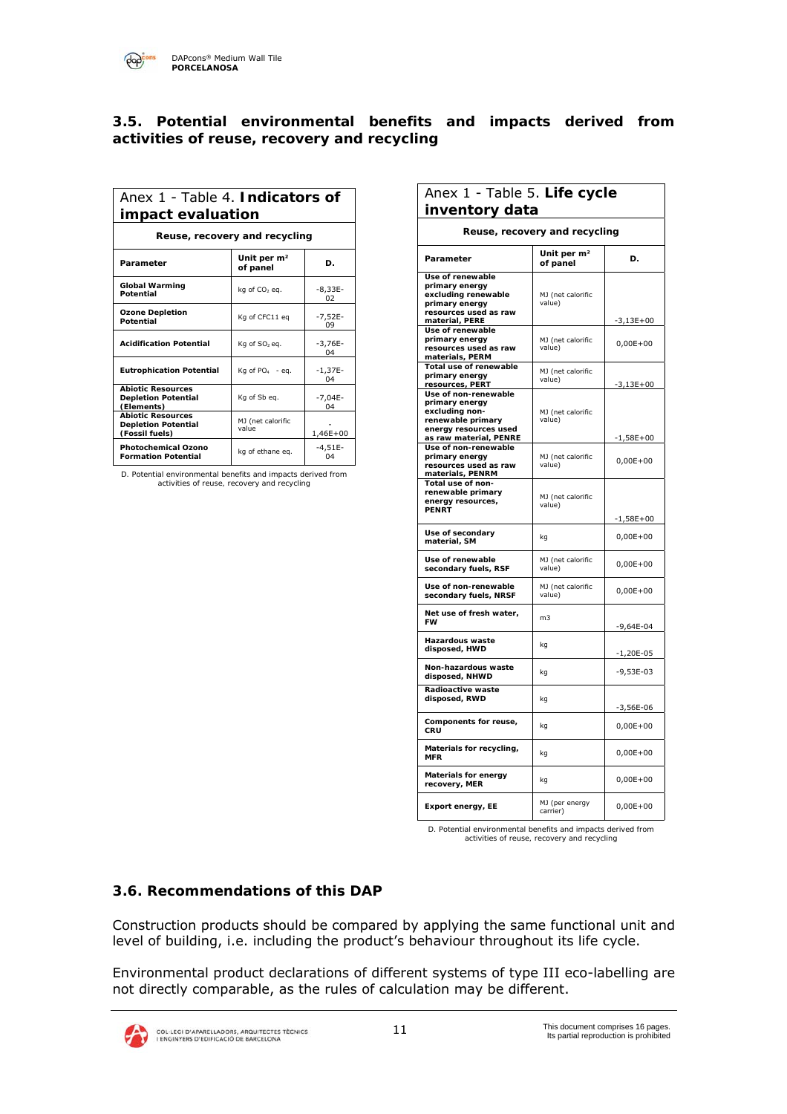$\overline{\mathrm{P}}$ 

### **3.5. Potential environmental benefits and impacts derived from activities of reuse, recovery and recycling**

| Anex 1 - Table 4. Indicators of<br>impact evaluation                     |                                     |                 |  |
|--------------------------------------------------------------------------|-------------------------------------|-----------------|--|
| Reuse, recovery and recycling                                            |                                     |                 |  |
| Parameter                                                                | Unit per m <sup>2</sup><br>of panel | D.              |  |
| <b>Global Warming</b><br>Potential                                       | kg of CO <sub>2</sub> eg.           | $-8,33E-$<br>02 |  |
| <b>Ozone Depletion</b><br>Potential                                      | Kg of CFC11 eg                      | $-7,52E-$<br>09 |  |
| <b>Acidification Potential</b>                                           | Kg of SO <sub>2</sub> eg.           | $-3,76E-$<br>04 |  |
| <b>Eutrophication Potential</b>                                          | Kg of $PO4 - eq$ .                  | $-1,37E-$<br>04 |  |
| <b>Abiotic Resources</b><br><b>Depletion Potential</b><br>(Elements)     | Kg of Sb eg.                        | $-7,04E-$<br>04 |  |
| <b>Abiotic Resources</b><br><b>Depletion Potential</b><br>(Fossil fuels) | MJ (net calorific<br>value          | 1,46E+00        |  |
| <b>Photochemical Ozono</b><br><b>Formation Potential</b>                 | kg of ethane eq.                    | $-4,51E-$<br>04 |  |

*D. Potential environmental benefits and impacts derived from activities of reuse, recovery and recycling*

| Anex 1 - Table 5. Life cycle                                                                                  |                                     |                             |  |
|---------------------------------------------------------------------------------------------------------------|-------------------------------------|-----------------------------|--|
| inventory data                                                                                                |                                     |                             |  |
|                                                                                                               | Reuse, recovery and recycling       |                             |  |
| Parameter                                                                                                     | Unit per m <sup>2</sup><br>of panel | D.                          |  |
| Use of renewable<br>primary energy<br>excluding renewable<br>primary energy<br>resources used as raw          | MJ (net calorific<br>value)         |                             |  |
| material, PERE<br>Use of renewable<br>primary energy<br>resources used as raw                                 | MJ (net calorific<br>value)         | $-3,13E+00$<br>$0,00E+00$   |  |
| materials, PERM<br>Total use of renewable<br>primary energy<br>resources, PERT                                | MJ (net calorific<br>value)         | $-3,13E+00$                 |  |
| Use of non-renewable<br>primary energy<br>excluding non-<br>renewable primary<br>energy resources used        | MJ (net calorific<br>value)         |                             |  |
| as raw material, PENRE<br>Use of non-renewable<br>primary energy<br>resources used as raw<br>materials, PENRM | MJ (net calorific<br>value)         | $-1,58E+00$<br>$0,00E + 00$ |  |
| Total use of non-<br>renewable primary<br>energy resources,<br><b>PENRT</b>                                   | MJ (net calorific<br>value)         | $-1,58E+00$                 |  |
| Use of secondary<br>material, SM                                                                              | kg                                  | $0,00E + 00$                |  |
| Use of renewable<br>secondary fuels, RSF                                                                      | MJ (net calorific<br>value)         | $0,00E+00$                  |  |
| Use of non-renewable<br>secondary fuels, NRSF                                                                 | MJ (net calorific<br>value)         | $0,00E + 00$                |  |
| Net use of fresh water,<br><b>FW</b>                                                                          | m <sub>3</sub>                      | $-9,64E-04$                 |  |
| <b>Hazardous waste</b><br>disposed, HWD                                                                       | kg                                  | -1,20E-05                   |  |
| Non-hazardous waste<br>disposed, NHWD                                                                         | kq                                  | $-9,53E-03$                 |  |
| Radioactive waste<br>disposed, RWD                                                                            | kg                                  | -3,56E-06                   |  |
| Components for reuse,<br>CRU                                                                                  | kg                                  | $0,00E+00$                  |  |
| Materials for recycling,<br><b>MFR</b>                                                                        | kq                                  | $0,00E + 00$                |  |
| <b>Materials for energy</b><br>recovery, MER                                                                  | kg                                  | $0,00E+00$                  |  |
| Export energy, EE                                                                                             | MJ (per energy<br>carrier)          | $0,00E + 00$                |  |

*D. Potential environmental benefits and impacts derived from activities of reuse, recovery and recycling*

## **3.6. Recommendations of this DAP**

Construction products should be compared by applying the same functional unit and level of building, i.e. including the product's behaviour throughout its life cycle.

Environmental product declarations of different systems of type III eco-labelling are not directly comparable, as the rules of calculation may be different.

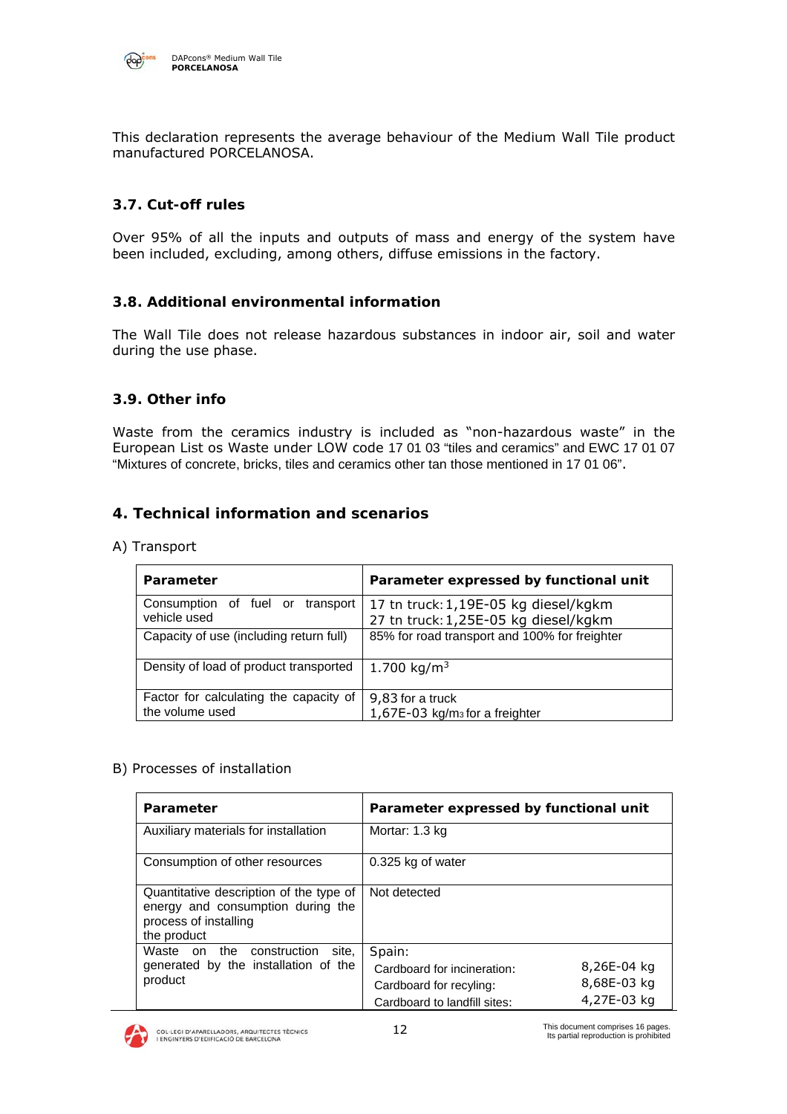

This declaration represents the average behaviour of the Medium Wall Tile product manufactured PORCELANOSA.

## **3.7. Cut-off rules**

Over 95% of all the inputs and outputs of mass and energy of the system have been included, excluding, among others, diffuse emissions in the factory.

#### **3.8. Additional environmental information**

The Wall Tile does not release hazardous substances in indoor air, soil and water during the use phase.

#### **3.9. Other info**

Waste from the ceramics industry is included as "non-hazardous waste" in the European List os Waste under LOW code 17 01 03 "tiles and ceramics" and EWC 17 01 07 "Mixtures of concrete, bricks, tiles and ceramics other tan those mentioned in 17 01 06".

#### **4. Technical information and scenarios**

A) Transport

| Parameter                                                 | Parameter expressed by functional unit                                      |
|-----------------------------------------------------------|-----------------------------------------------------------------------------|
| Consumption of fuel or<br>transport<br>vehicle used       | 17 tn truck:1,19E-05 kg diesel/kgkm<br>27 tn truck: 1,25E-05 kg diesel/kgkm |
| Capacity of use (including return full)                   | 85% for road transport and 100% for freighter                               |
| Density of load of product transported                    | 1.700 kg/m <sup>3</sup>                                                     |
| Factor for calculating the capacity of<br>the volume used | 9,83 for a truck<br>1,67E-03 kg/m <sub>3</sub> for a freighter              |

#### B) Processes of installation

| Parameter                                                                                                            | Parameter expressed by functional unit        |
|----------------------------------------------------------------------------------------------------------------------|-----------------------------------------------|
| Auxiliary materials for installation                                                                                 | Mortar: 1.3 kg                                |
| Consumption of other resources                                                                                       | 0.325 kg of water                             |
| Quantitative description of the type of<br>energy and consumption during the<br>process of installing<br>the product | Not detected                                  |
| the<br>Waste on<br>construction<br>site.                                                                             | Spain:                                        |
| generated by the installation of the                                                                                 | 8,26E-04 $ka$<br>Cardboard for incineration:  |
| product                                                                                                              | 8,68E-03 $kg$<br>Cardboard for recyling:      |
|                                                                                                                      | 4,27E-03 $kg$<br>Cardboard to landfill sites. |

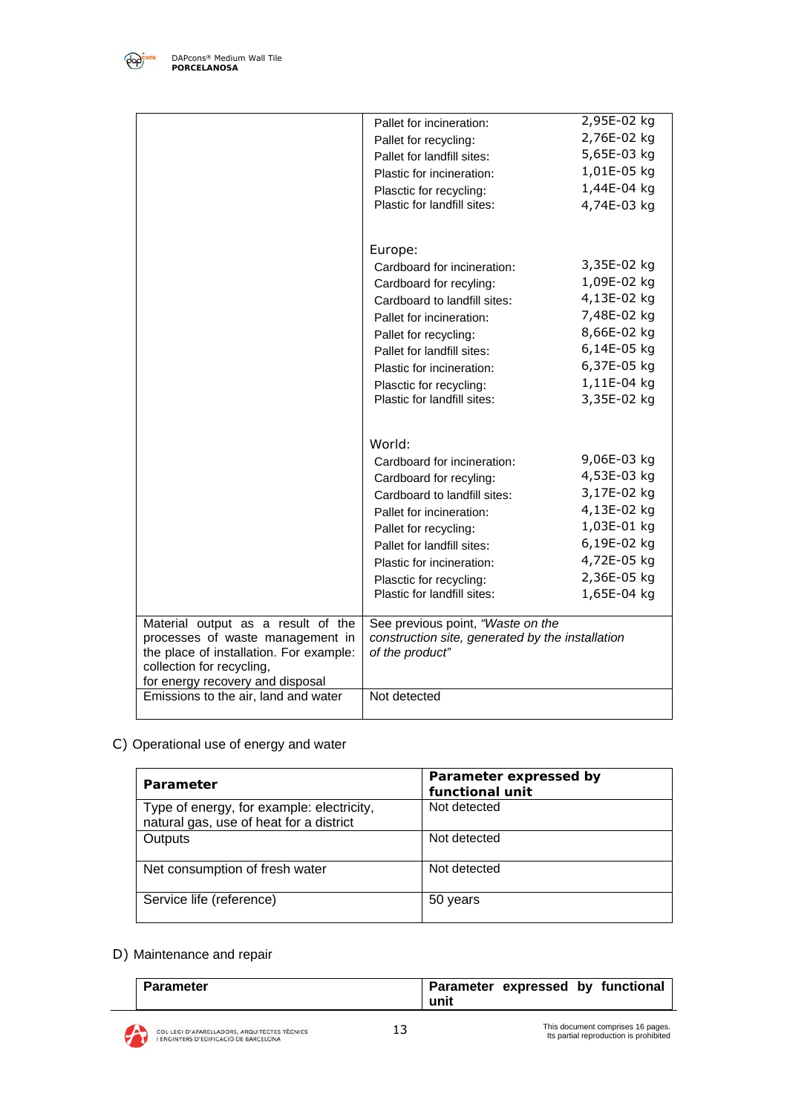

|                                                                             | Pallet for incineration.                                            | 2,95E-02 $kg$ |
|-----------------------------------------------------------------------------|---------------------------------------------------------------------|---------------|
|                                                                             | Pallet for recycling:                                               | 2,76E-02 kg   |
|                                                                             | Pallet for landfill sites:                                          | 5,65E-03 $kg$ |
|                                                                             | Plastic for incineration:                                           | 1,01E-05 $kg$ |
|                                                                             | Plasctic for recycling.                                             | 1,44E-04 $kg$ |
|                                                                             | Plastic for landfill sites:                                         | 4,74E-03 kg   |
|                                                                             |                                                                     |               |
|                                                                             |                                                                     |               |
|                                                                             | Europe:                                                             |               |
|                                                                             | Cardboard for incineration:                                         | 3,35E-02 $kg$ |
|                                                                             | Cardboard for recyling.                                             | 1,09E-02 $kg$ |
|                                                                             | Cardboard to landfill sites:                                        | 4,13E-02 kg   |
|                                                                             | Pallet for incineration:                                            | 7,48E-02 kg   |
|                                                                             | Pallet for recycling:                                               | 8,66E-02 kg   |
|                                                                             | Pallet for landfill sites:                                          | 6,14E-05 $kq$ |
|                                                                             | Plastic for incineration:                                           | 6,37E-05 $kg$ |
|                                                                             | Plasctic for recycling:                                             | $1,11E-04$ kg |
|                                                                             | Plastic for landfill sites:                                         | 3,35E-02 kg   |
|                                                                             |                                                                     |               |
|                                                                             |                                                                     |               |
|                                                                             | World:                                                              |               |
|                                                                             | Cardboard for incineration:                                         | 9,06E-03 $kg$ |
|                                                                             | Cardboard for recyling:                                             | 4,53E-03 kg   |
|                                                                             | Cardboard to landfill sites:                                        | 3,17E-02 kg   |
|                                                                             | Pallet for incineration:                                            | 4,13E-02 kg   |
|                                                                             | Pallet for recycling:                                               | 1,03E-01 $kg$ |
|                                                                             | Pallet for landfill sites:                                          | 6,19E-02 $kg$ |
|                                                                             | Plastic for incineration:                                           | 4,72E-05 kg   |
|                                                                             | Plasctic for recycling.                                             | 2,36E-05 kg   |
|                                                                             | Plastic for landfill sites:                                         | 1,65E-04 $kg$ |
|                                                                             |                                                                     |               |
| Material output as a result of the                                          | See previous point, "Waste on the                                   |               |
| processes of waste management in<br>the place of installation. For example: | construction site, generated by the installation<br>of the product" |               |
| collection for recycling,                                                   |                                                                     |               |
| for energy recovery and disposal                                            |                                                                     |               |
| Emissions to the air, land and water                                        | Not detected                                                        |               |
|                                                                             |                                                                     |               |

C) Operational use of energy and water

| Parameter                                                                            | Parameter expressed by<br>functional unit |
|--------------------------------------------------------------------------------------|-------------------------------------------|
| Type of energy, for example: electricity,<br>natural gas, use of heat for a district | Not detected                              |
| Outputs                                                                              | Not detected                              |
| Net consumption of fresh water                                                       | Not detected                              |
| Service life (reference)                                                             | 50 years                                  |

## D) Maintenance and repair

| <b>Parameter</b> |      | Parameter expressed by functional |  |
|------------------|------|-----------------------------------|--|
|                  | unit |                                   |  |

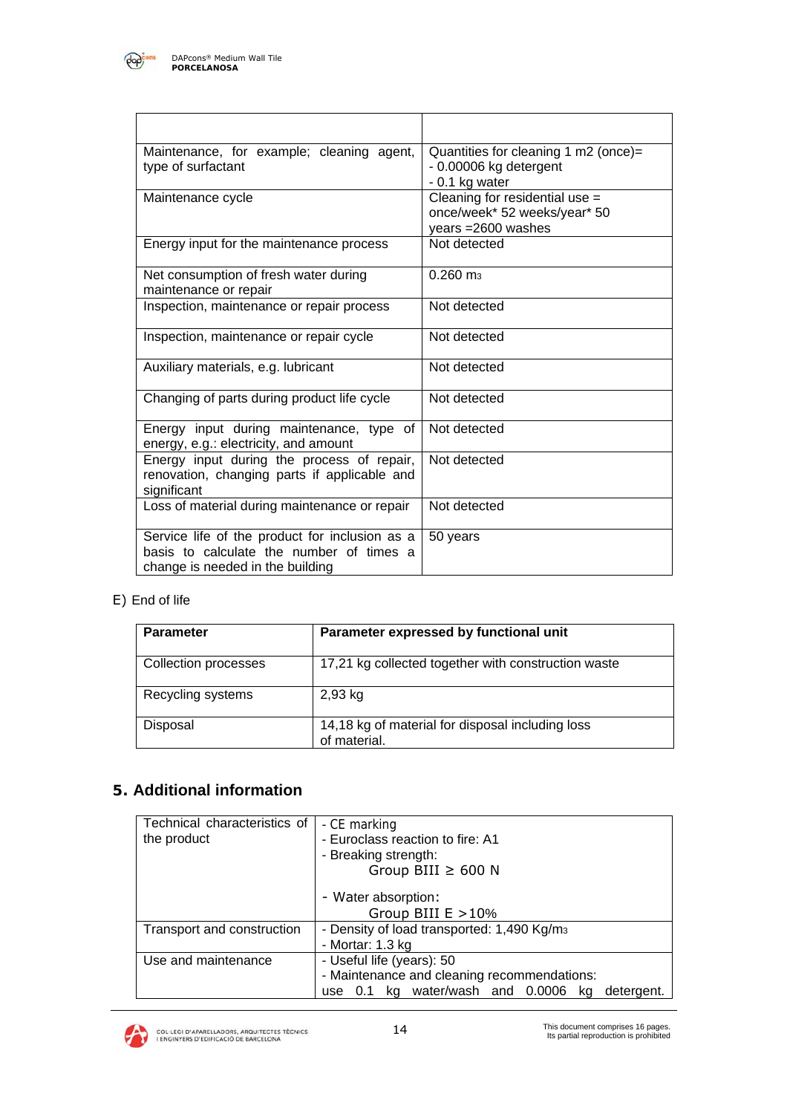

| Maintenance, for example; cleaning agent,<br>type of surfactant                                                                | Quantities for cleaning 1 m2 (once)=<br>- 0.00006 kg detergent<br>$-0.1$ kg water                   |
|--------------------------------------------------------------------------------------------------------------------------------|-----------------------------------------------------------------------------------------------------|
| Maintenance cycle                                                                                                              | Cleaning for residential $\overline{use} =$<br>once/week* 52 weeks/year* 50<br>years $=2600$ washes |
| Energy input for the maintenance process                                                                                       | Not detected                                                                                        |
| Net consumption of fresh water during<br>maintenance or repair                                                                 | $0.260 \text{ m}$ <sub>3</sub>                                                                      |
| Inspection, maintenance or repair process                                                                                      | Not detected                                                                                        |
| Inspection, maintenance or repair cycle                                                                                        | Not detected                                                                                        |
| Auxiliary materials, e.g. lubricant                                                                                            | Not detected                                                                                        |
| Changing of parts during product life cycle                                                                                    | Not detected                                                                                        |
| Energy input during maintenance, type of<br>energy, e.g.: electricity, and amount                                              | Not detected                                                                                        |
| Energy input during the process of repair,<br>renovation, changing parts if applicable and<br>significant                      | Not detected                                                                                        |
| Loss of material during maintenance or repair                                                                                  | Not detected                                                                                        |
| Service life of the product for inclusion as a<br>basis to calculate the number of times a<br>change is needed in the building | 50 years                                                                                            |

## E) End of life

| <b>Parameter</b>            | Parameter expressed by functional unit                           |
|-----------------------------|------------------------------------------------------------------|
| <b>Collection processes</b> | 17,21 kg collected together with construction waste              |
| Recycling systems           | $2,93$ kg                                                        |
| Disposal                    | 14,18 kg of material for disposal including loss<br>of material. |

## **5. Additional information**

| Technical characteristics of | - CE marking                                           |
|------------------------------|--------------------------------------------------------|
| the product                  | - Euroclass reaction to fire: A1                       |
|                              | - Breaking strength:                                   |
|                              | Group BIII $\geq$ 600 N                                |
|                              | - Water absorption:                                    |
|                              | Group BIII $E > 10\%$                                  |
| Transport and construction   | - Density of load transported: 1,490 Kg/m <sub>3</sub> |
|                              | - Mortar: 1.3 kg                                       |
| Use and maintenance          | - Useful life (years): 50                              |
|                              | - Maintenance and cleaning recommendations:            |
|                              | use 0.1 kg water/wash and 0.0006 kg detergent.         |

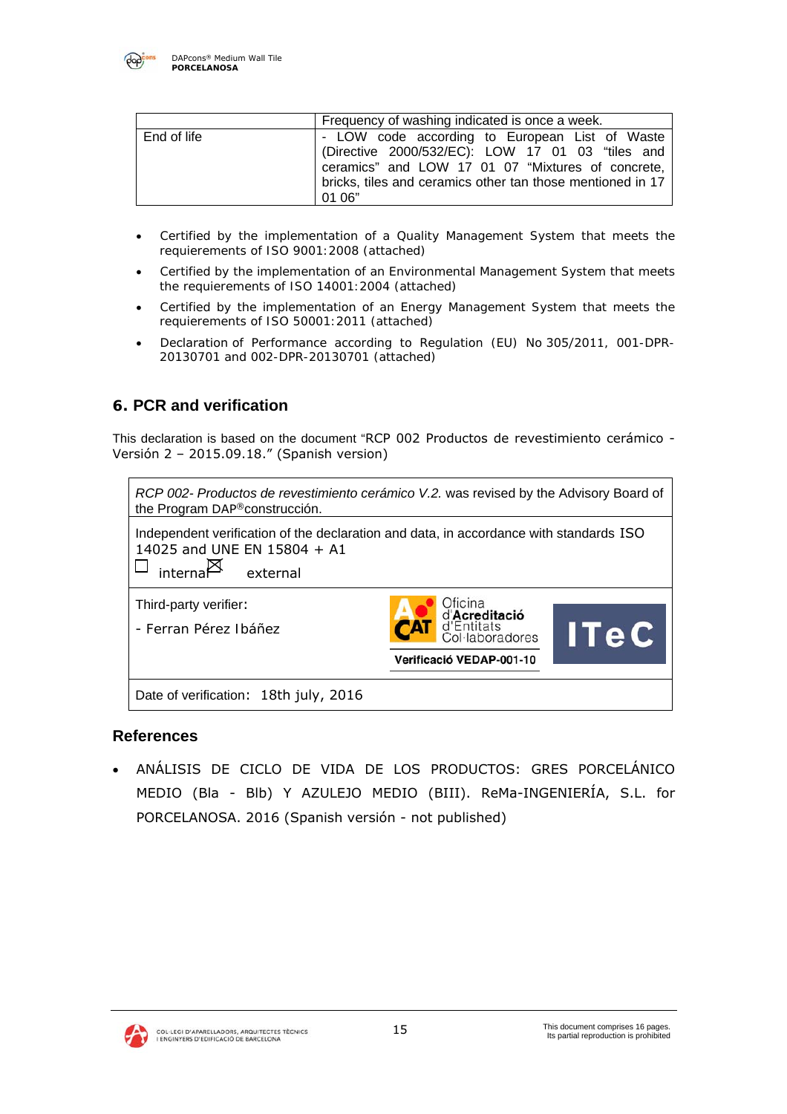

|             | Frequency of washing indicated is once a week.                                                                                                                                                                                  |
|-------------|---------------------------------------------------------------------------------------------------------------------------------------------------------------------------------------------------------------------------------|
| End of life | - LOW code according to European List of Waste<br>(Directive 2000/532/EC): LOW 17 01 03 "tiles and<br>ceramics" and LOW 17 01 07 "Mixtures of concrete,<br>bricks, tiles and ceramics other tan those mentioned in 17<br>01 06" |

- Certified by the implementation of a Quality Management System that meets the *requierements of ISO 9001:2008 (attached)*
- *Certified by the implementation of an Environmental Management System that meets the requierements of ISO 14001:2004 (attached)*
- *Certified by the implementation of an Energy Management System that meets the requierements of ISO 50001:2011 (attached)*
- Declaration *of Performance according to Regulation (EU) No* 305/2011*, 001-DPR-20130701 and 002-DPR-20130701 (attached)*

## **6. PCR and verification**

This declaration is based on the document "RCP 002 Productos de revestimiento cerámico - Versión 2 – 2015.09.18." (Spanish version)



## **References**

 ANÁLISIS DE CICLO DE VIDA DE LOS PRODUCTOS: GRES PORCELÁNICO MEDIO (Bla - Blb) Y AZULEJO MEDIO (BIII). ReMa-INGENIERÍA, S.L. for PORCELANOSA. 2016 (Spanish versión - not published)